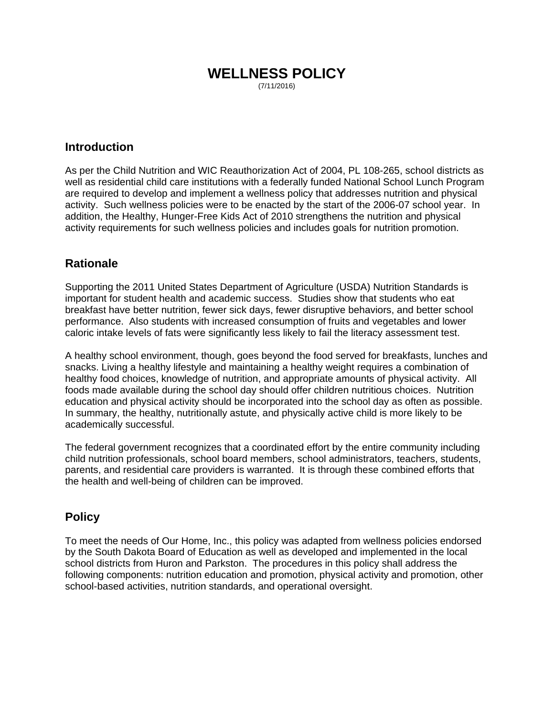## **WELLNESS POLICY**  (7/11/2016)

## **Introduction**

As per the Child Nutrition and WIC Reauthorization Act of 2004, PL 108-265, school districts as well as residential child care institutions with a federally funded National School Lunch Program are required to develop and implement a wellness policy that addresses nutrition and physical activity. Such wellness policies were to be enacted by the start of the 2006-07 school year. In addition, the Healthy, Hunger-Free Kids Act of 2010 strengthens the nutrition and physical activity requirements for such wellness policies and includes goals for nutrition promotion.

# **Rationale**

Supporting the 2011 United States Department of Agriculture (USDA) Nutrition Standards is important for student health and academic success. Studies show that students who eat breakfast have better nutrition, fewer sick days, fewer disruptive behaviors, and better school performance. Also students with increased consumption of fruits and vegetables and lower caloric intake levels of fats were significantly less likely to fail the literacy assessment test.

A healthy school environment, though, goes beyond the food served for breakfasts, lunches and snacks. Living a healthy lifestyle and maintaining a healthy weight requires a combination of healthy food choices, knowledge of nutrition, and appropriate amounts of physical activity. All foods made available during the school day should offer children nutritious choices. Nutrition education and physical activity should be incorporated into the school day as often as possible. In summary, the healthy, nutritionally astute, and physically active child is more likely to be academically successful.

The federal government recognizes that a coordinated effort by the entire community including child nutrition professionals, school board members, school administrators, teachers, students, parents, and residential care providers is warranted. It is through these combined efforts that the health and well-being of children can be improved.

# **Policy**

To meet the needs of Our Home, Inc., this policy was adapted from wellness policies endorsed by the South Dakota Board of Education as well as developed and implemented in the local school districts from Huron and Parkston. The procedures in this policy shall address the following components: nutrition education and promotion, physical activity and promotion, other school-based activities, nutrition standards, and operational oversight.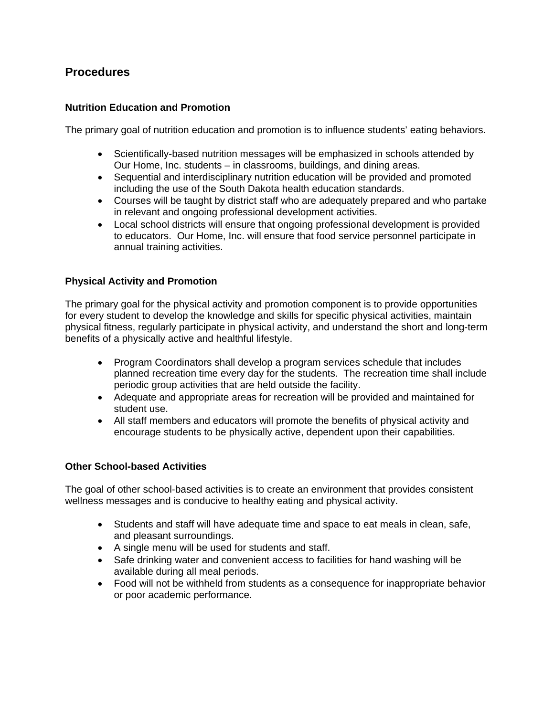# **Procedures**

## **Nutrition Education and Promotion**

The primary goal of nutrition education and promotion is to influence students' eating behaviors.

- Scientifically-based nutrition messages will be emphasized in schools attended by Our Home, Inc. students – in classrooms, buildings, and dining areas.
- Sequential and interdisciplinary nutrition education will be provided and promoted including the use of the South Dakota health education standards.
- Courses will be taught by district staff who are adequately prepared and who partake in relevant and ongoing professional development activities.
- Local school districts will ensure that ongoing professional development is provided to educators. Our Home, Inc. will ensure that food service personnel participate in annual training activities.

## **Physical Activity and Promotion**

The primary goal for the physical activity and promotion component is to provide opportunities for every student to develop the knowledge and skills for specific physical activities, maintain physical fitness, regularly participate in physical activity, and understand the short and long-term benefits of a physically active and healthful lifestyle.

- Program Coordinators shall develop a program services schedule that includes planned recreation time every day for the students. The recreation time shall include periodic group activities that are held outside the facility.
- Adequate and appropriate areas for recreation will be provided and maintained for student use.
- All staff members and educators will promote the benefits of physical activity and encourage students to be physically active, dependent upon their capabilities.

## **Other School-based Activities**

The goal of other school-based activities is to create an environment that provides consistent wellness messages and is conducive to healthy eating and physical activity.

- Students and staff will have adequate time and space to eat meals in clean, safe, and pleasant surroundings.
- A single menu will be used for students and staff.
- Safe drinking water and convenient access to facilities for hand washing will be available during all meal periods.
- Food will not be withheld from students as a consequence for inappropriate behavior or poor academic performance.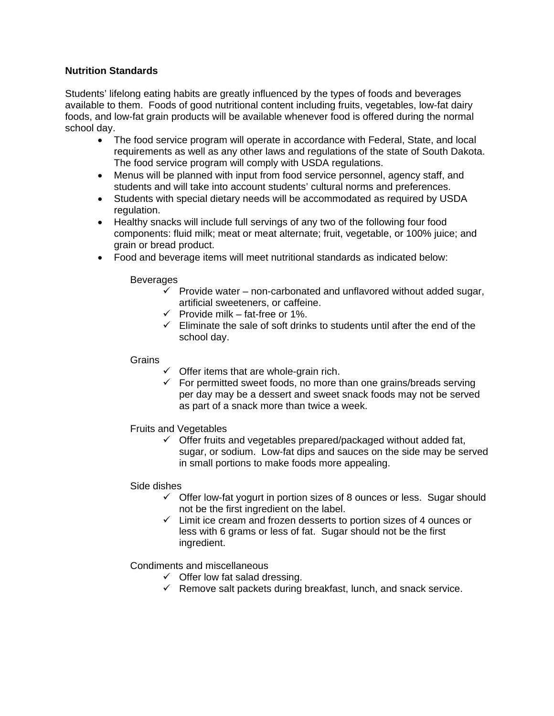## **Nutrition Standards**

Students' lifelong eating habits are greatly influenced by the types of foods and beverages available to them. Foods of good nutritional content including fruits, vegetables, low-fat dairy foods, and low-fat grain products will be available whenever food is offered during the normal school day.

- The food service program will operate in accordance with Federal, State, and local requirements as well as any other laws and regulations of the state of South Dakota. The food service program will comply with USDA regulations.
- Menus will be planned with input from food service personnel, agency staff, and students and will take into account students' cultural norms and preferences.
- Students with special dietary needs will be accommodated as required by USDA regulation.
- Healthy snacks will include full servings of any two of the following four food components: fluid milk; meat or meat alternate; fruit, vegetable, or 100% juice; and grain or bread product.
- Food and beverage items will meet nutritional standards as indicated below:

#### **Beverages**

- $\checkmark$  Provide water non-carbonated and unflavored without added sugar, artificial sweeteners, or caffeine.
- $\checkmark$  Provide milk fat-free or 1%.
- $\checkmark$  Eliminate the sale of soft drinks to students until after the end of the school day.

#### Grains

- $\checkmark$  Offer items that are whole-grain rich.
- $\checkmark$  For permitted sweet foods, no more than one grains/breads serving per day may be a dessert and sweet snack foods may not be served as part of a snack more than twice a week.

## Fruits and Vegetables

 $\checkmark$  Offer fruits and vegetables prepared/packaged without added fat, sugar, or sodium. Low-fat dips and sauces on the side may be served in small portions to make foods more appealing.

#### Side dishes

- $\checkmark$  Offer low-fat yogurt in portion sizes of 8 ounces or less. Sugar should not be the first ingredient on the label.
- $\checkmark$  Limit ice cream and frozen desserts to portion sizes of 4 ounces or less with 6 grams or less of fat. Sugar should not be the first ingredient.

## Condiments and miscellaneous

- $\checkmark$  Offer low fat salad dressing.
- $\checkmark$  Remove salt packets during breakfast, lunch, and snack service.